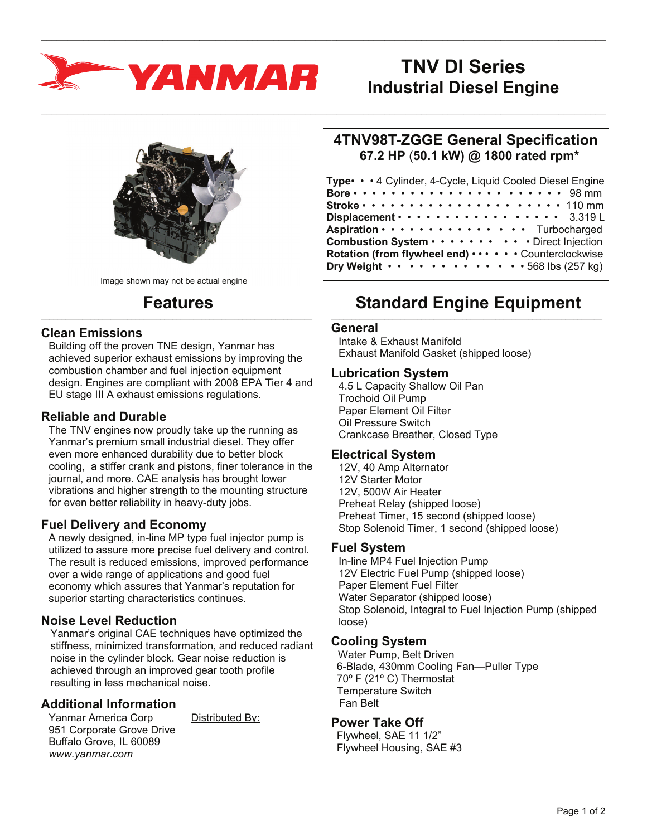

# **TNV DI Series Industrial Diesel Engine**



Image shown may not be actual engine

#### **Features**  $\_$  , and the set of the set of the set of the set of the set of the set of the set of the set of the set of the set of the set of the set of the set of the set of the set of the set of the set of the set of the set of th

## **Clean Emissions**

Building off the proven TNE design, Yanmar has achieved superior exhaust emissions by improving the combustion chamber and fuel injection equipment design. Engines are compliant with 2008 EPA Tier 4 and EU stage III A exhaust emissions regulations.

# **Reliable and Durable**

The TNV engines now proudly take up the running as Yanmar's premium small industrial diesel. They offer even more enhanced durability due to better block cooling, a stiffer crank and pistons, finer tolerance in the journal, and more. CAE analysis has brought lower vibrations and higher strength to the mounting structure for even better reliability in heavy-duty jobs.

## **Fuel Delivery and Economy**

A newly designed, in-line MP type fuel injector pump is utilized to assure more precise fuel delivery and control. The result is reduced emissions, improved performance over a wide range of applications and good fuel economy which assures that Yanmar's reputation for superior starting characteristics continues.

# **Noise Level Reduction**

Yanmar's original CAE techniques have optimized the stiffness, minimized transformation, and reduced radiant noise in the cylinder block. Gear noise reduction is achieved through an improved gear tooth profile resulting in less mechanical noise.

# **Additional Information**

Yanmar America Corp Distributed By: 951 Corporate Grove Drive Buffalo Grove, IL 60089 *www.yanmar.com* 

#### **4TNV98T-ZGGE General Specification 67.2 HP** (**50.1 kW) @ 1800 rated rpm\***  $\_$  ,  $\_$  ,  $\_$  ,  $\_$  ,  $\_$  ,  $\_$  ,  $\_$  ,  $\_$  ,  $\_$  ,  $\_$  ,  $\_$  ,  $\_$  ,  $\_$  ,  $\_$  ,  $\_$  ,  $\_$  ,  $\_$  ,  $\_$  ,  $\_$  ,  $\_$

| Type• • • 4 Cylinder, 4-Cycle, Liquid Cooled Diesel Engine                                     |  |
|------------------------------------------------------------------------------------------------|--|
| Bore $\cdots$ $\cdots$ $\cdots$ $\cdots$ $\cdots$ $\cdots$ $\cdots$ $\cdots$ 98 mm             |  |
| Stroke $\cdots$ $\cdots$ $\cdots$ $\cdots$ $\cdots$ $\cdots$ $\cdots$ $\cdots$ $\cdots$ 110 mm |  |
| Displacement $\cdots$ $\cdots$ $\cdots$ $\cdots$ $\cdots$ $\cdots$ 3.319L                      |  |
| Aspiration · · · · · · · · · · · · · · · Turbocharged                                          |  |
| Combustion System Direct Injection                                                             |  |
| Rotation (from flywheel end)  Counterclockwise                                                 |  |
| Dry Weight $\cdots$ $\cdots$ $\cdots$ $\cdots$ $\cdots$ $\cdots$ $\cdots$ 568 lbs (257 kg)     |  |

## **Standard Engine Equipment**  $\_$  , and the set of the set of the set of the set of the set of the set of the set of the set of the set of the set of the set of the set of the set of the set of the set of the set of the set of the set of the set of th

#### **General**

 $\_$  , and the state of the state of the state of the state of the state of the state of the state of the state of the state of the state of the state of the state of the state of the state of the state of the state of the

 $\_$  , and the state of the state of the state of the state of the state of the state of the state of the state of the state of the state of the state of the state of the state of the state of the state of the state of the

Intake & Exhaust Manifold Exhaust Manifold Gasket (shipped loose)

#### **Lubrication System**

4.5 L Capacity Shallow Oil Pan Trochoid Oil Pump Paper Element Oil Filter Oil Pressure Switch Crankcase Breather, Closed Type

#### **Electrical System**

12V, 40 Amp Alternator 12V Starter Motor 12V, 500W Air Heater Preheat Relay (shipped loose) Preheat Timer, 15 second (shipped loose) Stop Solenoid Timer, 1 second (shipped loose)

## **Fuel System**

In-line MP4 Fuel Injection Pump 12V Electric Fuel Pump (shipped loose) Paper Element Fuel Filter Water Separator (shipped loose) Stop Solenoid, Integral to Fuel Injection Pump (shipped loose)

# **Cooling System**

 Water Pump, Belt Driven 6-Blade, 430mm Cooling Fan—Puller Type 70º F (21º C) Thermostat Temperature Switch Fan Belt

## **Power Take Off**

 Flywheel, SAE 11 1/2" Flywheel Housing, SAE #3